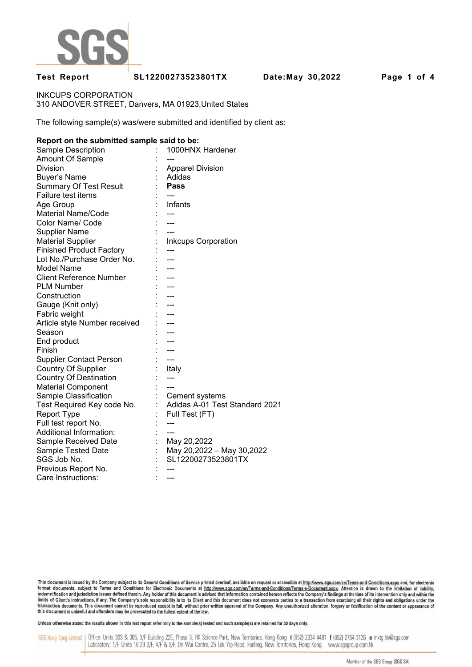

### **Test Report SL12200273523801TX Date:May 30,2022 Page 1 of 4**

INKCUPS CORPORATION 310 ANDOVER STREET, Danvers, MA 01923,United States

The following sample(s) was/were submitted and identified by client as:

### **Report on the submitted sample said to be:**

| Sample Description              | 1000HNX Hardener               |
|---------------------------------|--------------------------------|
| <b>Amount Of Sample</b>         |                                |
| Division                        | <b>Apparel Division</b>        |
| Buyer's Name                    | Adidas                         |
| <b>Summary Of Test Result</b>   | Pass                           |
| Failure test items              |                                |
| Age Group                       | Infants                        |
| <b>Material Name/Code</b>       |                                |
| Color Name/ Code                |                                |
| <b>Supplier Name</b>            |                                |
| <b>Material Supplier</b>        | <b>Inkcups Corporation</b>     |
| <b>Finished Product Factory</b> |                                |
| Lot No./Purchase Order No.      |                                |
| <b>Model Name</b>               | ---                            |
| <b>Client Reference Number</b>  | ---                            |
| <b>PLM Number</b>               | ---                            |
| Construction                    | ---                            |
| Gauge (Knit only)               | ---                            |
| Fabric weight                   |                                |
| Article style Number received   |                                |
| Season                          |                                |
| End product                     |                                |
| Finish                          |                                |
| <b>Supplier Contact Person</b>  | ---                            |
| Country Of Supplier             | Italy                          |
| <b>Country Of Destination</b>   |                                |
| <b>Material Component</b>       |                                |
| Sample Classification           | Cement systems                 |
| Test Required Key code No.      | Adidas A-01 Test Standard 2021 |
| <b>Report Type</b>              | Full Test (FT)                 |
| Full test report No.            |                                |
| Additional Information:         |                                |
| Sample Received Date            | May 20,2022                    |
| Sample Tested Date              | May 20,2022 - May 30,2022      |
| SGS Job No.                     | SL12200273523801TX             |
| Previous Report No.             |                                |
| Care Instructions:              | ---                            |
|                                 |                                |

Unless otherwise stated the results shown in this test report refer only to the sample(s) tested and such sample(s) are retained for 30 days only.

SGS Hong Kong Limited | Office: Units 303 & 305, 3/F Building 22E, Phase 3, HK Science Park, New Territories, Hong Kong t (852) 2334 4481 f (852) 2764 3126 e mktg.hk@sgs.com Laboratory: 1/F, Units 16-29 3/F, 4/F & 5/F, On Wui Centre, 25 Lok Yip Road, Fanling, New Territories, Hong Kong. www.sgsgroup.com.hk

This document is issued by the Company subject to its General Conditions of Service printed overleaf, available on request or accessible at http://www.sgs.com/en/Terms-and-Conditions.aspx and, for electronic format documents, subject to Terms and Conditions for Electronic Documents at http://www.sgs.com/en/Terms-and-Conditions/Terms-e-Document.aspx. Aftention is drawn to the limitation of liability,<br>indemnification and jurisdi limits of Client's instructions, if any. The Company's sole responsibility is to its Client and this document does not exonerate parties to a transaction from exercising all their rights and obligations under the transacti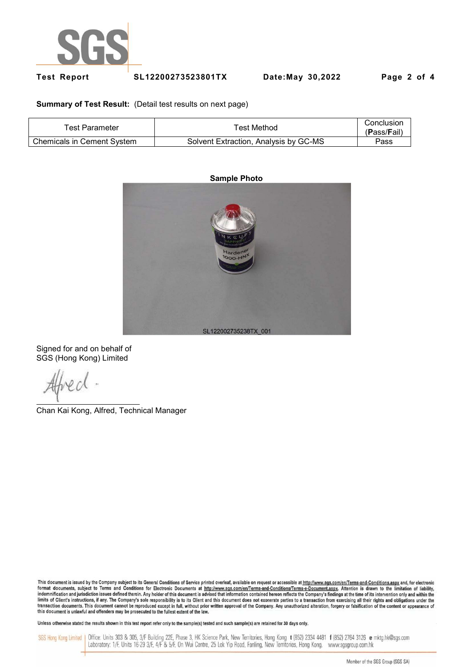

### **Test Report SL12200273523801TX Date:May 30,2022 Page 2 of 4**

**Summary of Test Result:** (Detail test results on next page)

| Test Parameter                    | Test Method                           | Conclusion<br>(Pass/Fail) |
|-----------------------------------|---------------------------------------|---------------------------|
| <b>Chemicals in Cement System</b> | Solvent Extraction, Analysis by GC-MS | Pass                      |

## **Sample Photo**



Signed for and on behalf of SGS (Hong Kong) Limited

Chan Kai Kong, Alfred, Technical Manager

This document is issued by the Company subject to its General Conditions of Service printed overleaf, available on request or accessible at http://www.sgs.com/en/Terms-and-Conditions.aspx and, for electronic In the documents, subject to Terms and Conditions for Electronic Documents at http://www.sps.com/en/Terms-and-Conditions/Terms-e-Document.aspx... Attention is drawn to the limitation of liability,<br>Indemnification and juris limits of Client's instructions, if any. The Company's sole responsibility is to its Client and this document does not exonerate parties to a transaction from exercising all their rights and obligations under the transacti

Unless otherwise stated the results shown in this test report refer only to the sample(s) tested and such sample(s) are retained for 30 days only.

SGS Hong Kong Limited | Office: Units 303 & 305, 3/F Building 22E, Phase 3, HK Science Park, New Territories, Hong Kong t (852) 2334 4481 f (852) 2764 3126 e mktg.hk@sgs.com Laboratory: 1/F, Units 16-29 3/F, 4/F & 5/F, On Wui Centre, 25 Lok Yip Road, Fanling, New Territories, Hong Kong. www.sgsgroup.com.hk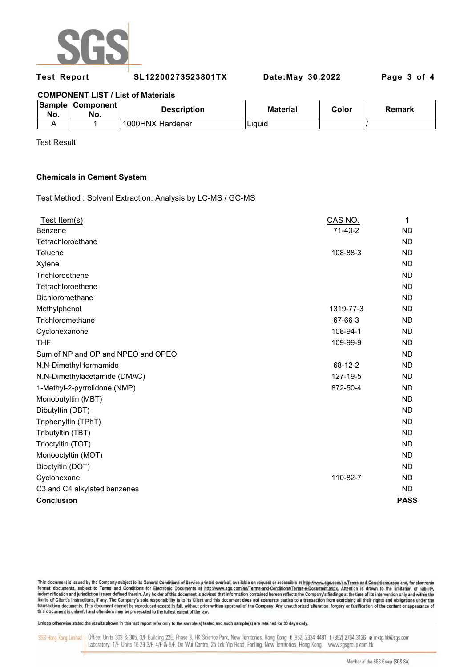

**Test Report SL12200273523801TX Date:May 30,2022 Page 3 of 4** 

## **COMPONENT LIST / List of Materials**

| No. | Sample Component<br>No. | <b>Description</b> | <b>Material</b> | Color | Remark |
|-----|-------------------------|--------------------|-----------------|-------|--------|
|     |                         | 1000HNX Hardener   | Liauid          |       |        |

Test Result

## **Chemicals in Cement System**

Test Method : Solvent Extraction. Analysis by LC-MS / GC-MS

| Test Item(s)                       | CAS NO.   | 1           |
|------------------------------------|-----------|-------------|
| Benzene                            | $71-43-2$ | <b>ND</b>   |
| Tetrachloroethane                  |           | <b>ND</b>   |
| Toluene                            | 108-88-3  | <b>ND</b>   |
| Xylene                             |           | <b>ND</b>   |
| Trichloroethene                    |           | <b>ND</b>   |
| Tetrachloroethene                  |           | <b>ND</b>   |
| Dichloromethane                    |           | <b>ND</b>   |
| Methylphenol                       | 1319-77-3 | <b>ND</b>   |
| Trichloromethane                   | 67-66-3   | <b>ND</b>   |
| Cyclohexanone                      | 108-94-1  | <b>ND</b>   |
| <b>THF</b>                         | 109-99-9  | <b>ND</b>   |
| Sum of NP and OP and NPEO and OPEO |           | <b>ND</b>   |
| N,N-Dimethyl formamide             | 68-12-2   | <b>ND</b>   |
| N,N-Dimethylacetamide (DMAC)       | 127-19-5  | <b>ND</b>   |
| 1-Methyl-2-pyrrolidone (NMP)       | 872-50-4  | <b>ND</b>   |
| Monobutyltin (MBT)                 |           | <b>ND</b>   |
| Dibutyltin (DBT)                   |           | <b>ND</b>   |
| Triphenyltin (TPhT)                |           | <b>ND</b>   |
| Tributyltin (TBT)                  |           | <b>ND</b>   |
| Trioctyltin (TOT)                  |           | <b>ND</b>   |
| Monooctyltin (MOT)                 |           | <b>ND</b>   |
| Dioctyltin (DOT)                   |           | <b>ND</b>   |
| Cyclohexane                        | 110-82-7  | <b>ND</b>   |
| C3 and C4 alkylated benzenes       |           | ND.         |
| <b>Conclusion</b>                  |           | <b>PASS</b> |

This document is issued by the Company subject to its General Conditions of Service printed overleaf, available on request or accessible at http://www.sgs.com/en/Terms-and-Conditions.aspx and, for electronic In the documents, subject to Terms and Conditions for Electronic Documents at http://www.sps.com/en/Terms-and-Conditions/Terms-e-Document.aspx... Attention is drawn to the limitation of liability,<br>Indemnification and juris limits of Client's instructions, if any. The Company's sole responsibility is to its Client and this document does not exonerate parties to a transaction from exercising all their rights and obligations under the transacti

Unless otherwise stated the results shown in this test report refer only to the sample(s) tested and such sample(s) are retained for 30 days only.

SGS Hong Kong Limited | Office: Units 303 & 305, 3/F Building 22E, Phase 3, HK Science Park, New Territories, Hong Kong t (852) 2334 4481 f (852) 2764 3126 e mktg.hk@sgs.com Laboratory: 1/F, Units 16-29 3/F, 4/F & 5/F, On Wui Centre, 25 Lok Yip Road, Fanling, New Territories, Hong Kong. www.sgsgroup.com.hk